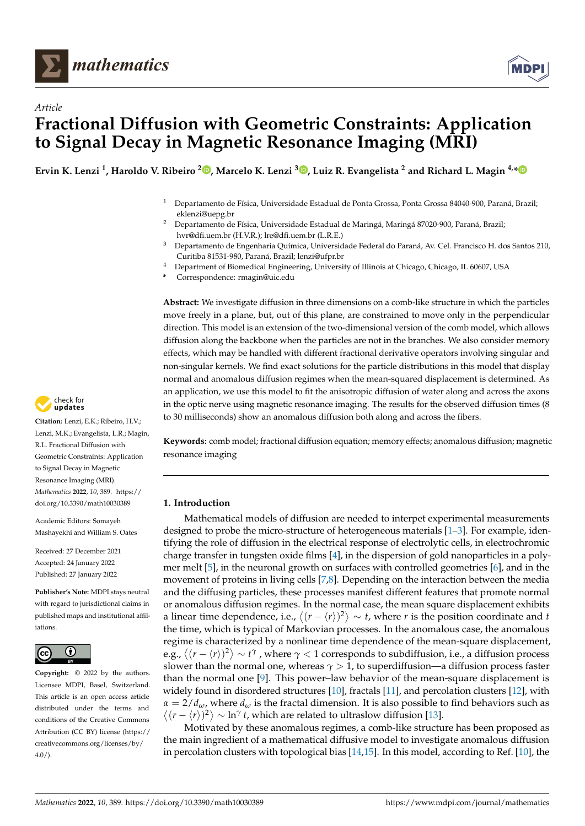

*Article*



# **Fractional Diffusion with Geometric Constraints: Application to Signal Decay in Magnetic Resonance Imaging (MRI)**

**Ervin K. Lenzi <sup>1</sup> , Haroldo V. Ribeiro <sup>2</sup> [,](https://orcid.org/0000-0002-9532-5195) Marcelo K. Lenzi <sup>3</sup> [,](https://orcid.org/0000-0002-0103-9017) Luiz R. Evangelista <sup>2</sup> and Richard L. Magin 4,[\\*](https://orcid.org/0000-0002-5103-1611)**

- <sup>1</sup> Departamento de Física, Universidade Estadual de Ponta Grossa, Ponta Grossa 84040-900, Paraná, Brazil; eklenzi@uepg.br
- <sup>2</sup> Departamento de Física, Universidade Estadual de Maringá, Maringá 87020-900, Paraná, Brazil; hvr@dfi.uem.br (H.V.R.); lre@dfi.uem.br (L.R.E.)
- <sup>3</sup> Departamento de Engenharia Química, Universidade Federal do Paraná, Av. Cel. Francisco H. dos Santos 210, Curitiba 81531-980, Paraná, Brazil; lenzi@ufpr.br
- <sup>4</sup> Department of Biomedical Engineering, University of Illinois at Chicago, Chicago, IL 60607, USA
- **\*** Correspondence: rmagin@uic.edu

**Abstract:** We investigate diffusion in three dimensions on a comb-like structure in which the particles move freely in a plane, but, out of this plane, are constrained to move only in the perpendicular direction. This model is an extension of the two-dimensional version of the comb model, which allows diffusion along the backbone when the particles are not in the branches. We also consider memory effects, which may be handled with different fractional derivative operators involving singular and non-singular kernels. We find exact solutions for the particle distributions in this model that display normal and anomalous diffusion regimes when the mean-squared displacement is determined. As an application, we use this model to fit the anisotropic diffusion of water along and across the axons in the optic nerve using magnetic resonance imaging. The results for the observed diffusion times (8 to 30 milliseconds) show an anomalous diffusion both along and across the fibers.

**Keywords:** comb model; fractional diffusion equation; memory effects; anomalous diffusion; magnetic resonance imaging

## **1. Introduction**

Mathematical models of diffusion are needed to interpet experimental measurements designed to probe the micro-structure of heterogeneous materials [\[1–](#page-9-0)[3\]](#page-9-1). For example, identifying the role of diffusion in the electrical response of electrolytic cells, in electrochromic charge transfer in tungsten oxide films [\[4\]](#page-9-2), in the dispersion of gold nanoparticles in a polymer melt [\[5\]](#page-9-3), in the neuronal growth on surfaces with controlled geometries [\[6\]](#page-9-4), and in the movement of proteins in living cells [\[7,](#page-9-5)[8\]](#page-9-6). Depending on the interaction between the media and the diffusing particles, these processes manifest different features that promote normal or anomalous diffusion regimes. In the normal case, the mean square displacement exhibits a linear time dependence, i.e.,  $\langle (r - \langle r \rangle)^2 \rangle \sim t$ , where *r* is the position coordinate and *t* the time, which is typical of Markovian processes. In the anomalous case, the anomalous regime is characterized by a nonlinear time dependence of the mean-square displacement, e.g.,  $\big\langle (r - \langle r \rangle)^2 \big\rangle \sim t^\gamma$  , where  $\gamma < 1$  corresponds to subdiffusion, i.e., a diffusion process slower than the normal one, whereas  $\gamma > 1$ , to superdiffusion—a diffusion process faster than the normal one [\[9\]](#page-9-7). This power–law behavior of the mean-square displacement is widely found in disordered structures [\[10\]](#page-9-8), fractals [\[11\]](#page-9-9), and percolation clusters [\[12\]](#page-9-10), with  $\alpha = 2/d_{\omega}$ , where  $d_{\omega}$  is the fractal dimension. It is also possible to find behaviors such as  $\langle (r - \langle r \rangle)^2 \rangle \sim \ln^{\gamma} t$ , which are related to ultraslow diffusion [\[13\]](#page-9-11).

Motivated by these anomalous regimes, a comb-like structure has been proposed as the main ingredient of a mathematical diffusive model to investigate anomalous diffusion in percolation clusters with topological bias [\[14](#page-10-0)[,15\]](#page-10-1). In this model, according to Ref. [\[10\]](#page-9-8), the



**Citation:** Lenzi, E.K.; Ribeiro, H.V.; Lenzi, M.K.; Evangelista, L.R.; Magin, R.L. Fractional Diffusion with Geometric Constraints: Application to Signal Decay in Magnetic Resonance Imaging (MRI). *Mathematics* **2022**, *10*, 389. [https://](https://doi.org/10.3390/math10030389) [doi.org/10.3390/math10030389](https://doi.org/10.3390/math10030389)

Academic Editors: Somayeh Mashayekhi and William S. Oates

Received: 27 December 2021 Accepted: 24 January 2022 Published: 27 January 2022

**Publisher's Note:** MDPI stays neutral with regard to jurisdictional claims in published maps and institutional affiliations.



**Copyright:** © 2022 by the authors. Licensee MDPI, Basel, Switzerland. This article is an open access article distributed under the terms and conditions of the Creative Commons Attribution (CC BY) license [\(https://](https://creativecommons.org/licenses/by/4.0/) [creativecommons.org/licenses/by/](https://creativecommons.org/licenses/by/4.0/)  $4.0/$ ).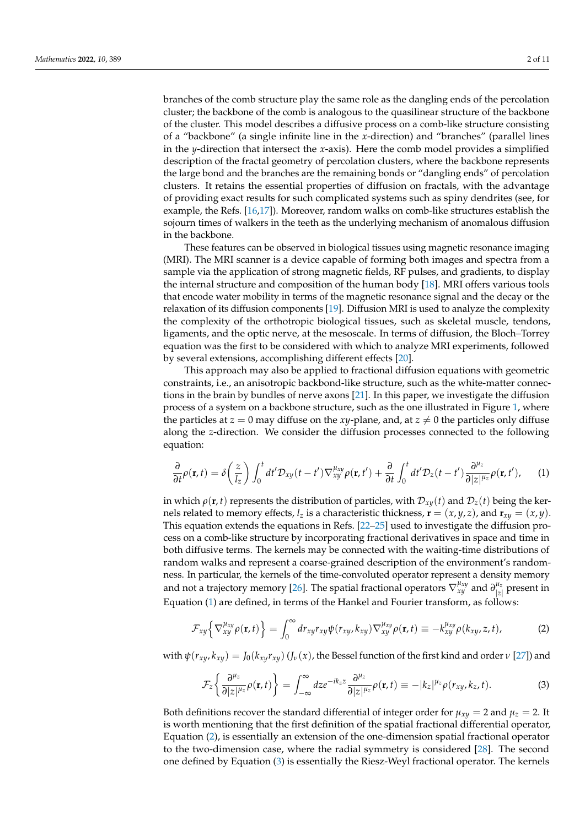branches of the comb structure play the same role as the dangling ends of the percolation cluster; the backbone of the comb is analogous to the quasilinear structure of the backbone of the cluster. This model describes a diffusive process on a comb-like structure consisting of a "backbone" (a single infinite line in the *x*-direction) and "branches" (parallel lines in the *y*-direction that intersect the *x*-axis). Here the comb model provides a simplified description of the fractal geometry of percolation clusters, where the backbone represents the large bond and the branches are the remaining bonds or "dangling ends" of percolation clusters. It retains the essential properties of diffusion on fractals, with the advantage of providing exact results for such complicated systems such as spiny dendrites (see, for example, the Refs. [\[16](#page-10-2)[,17\]](#page-10-3)). Moreover, random walks on comb-like structures establish the sojourn times of walkers in the teeth as the underlying mechanism of anomalous diffusion in the backbone.

These features can be observed in biological tissues using magnetic resonance imaging (MRI). The MRI scanner is a device capable of forming both images and spectra from a sample via the application of strong magnetic fields, RF pulses, and gradients, to display the internal structure and composition of the human body [\[18\]](#page-10-4). MRI offers various tools that encode water mobility in terms of the magnetic resonance signal and the decay or the relaxation of its diffusion components [\[19\]](#page-10-5). Diffusion MRI is used to analyze the complexity the complexity of the orthotropic biological tissues, such as skeletal muscle, tendons, ligaments, and the optic nerve, at the mesoscale. In terms of diffusion, the Bloch–Torrey equation was the first to be considered with which to analyze MRI experiments, followed by several extensions, accomplishing different effects [\[20\]](#page-10-6).

This approach may also be applied to fractional diffusion equations with geometric constraints, i.e., an anisotropic backbond-like structure, such as the white-matter connections in the brain by bundles of nerve axons [\[21\]](#page-10-7). In this paper, we investigate the diffusion process of a system on a backbone structure, such as the one illustrated in Figure [1,](#page-2-0) where the particles at  $z = 0$  may diffuse on the *xy*-plane, and, at  $z \neq 0$  the particles only diffuse along the *z*-direction. We consider the diffusion processes connected to the following equation:

<span id="page-1-0"></span>
$$
\frac{\partial}{\partial t}\rho(\mathbf{r},t)=\delta\left(\frac{z}{l_z}\right)\int_0^t dt' \mathcal{D}_{xy}(t-t')\nabla_{xy}^{\mu_{xy}}\rho(\mathbf{r},t')+\frac{\partial}{\partial t}\int_0^t dt' \mathcal{D}_z(t-t')\frac{\partial^{\mu_z}}{\partial |z|^{\mu_z}}\rho(\mathbf{r},t'),\qquad(1)
$$

in which  $\rho(\mathbf{r}, t)$  represents the distribution of particles, with  $\mathcal{D}_{x\psi}(t)$  and  $\mathcal{D}_z(t)$  being the kernels related to memory effects,  $l_z$  is a characteristic thickness,  $\mathbf{r} = (x, y, z)$ , and  $\mathbf{r}_{xy} = (x, y)$ . This equation extends the equations in Refs. [\[22–](#page-10-8)[25\]](#page-10-9) used to investigate the diffusion process on a comb-like structure by incorporating fractional derivatives in space and time in both diffusive terms. The kernels may be connected with the waiting-time distributions of random walks and represent a coarse-grained description of the environment's randomness. In particular, the kernels of the time-convoluted operator represent a density memory and not a trajectory memory [\[26\]](#page-10-10). The spatial fractional operators  $\nabla_{xy}^{\mu_{xy}}$  and  $\partial_{|z|}^{\mu_{z}}$  $\int_{|z|}^{\mu_{z}}$  present in Equation [\(1\)](#page-1-0) are defined, in terms of the Hankel and Fourier transform, as follows:

<span id="page-1-1"></span>
$$
\mathcal{F}_{xy}\Big\{\nabla_{xy}^{\mu_{xy}}\rho(\mathbf{r},t)\Big\} = \int_0^\infty dr_{xy}r_{xy}\psi(r_{xy},k_{xy})\nabla_{xy}^{\mu_{xy}}\rho(\mathbf{r},t) \equiv -k_{xy}^{\mu_{xy}}\rho(k_{xy},z,t),\tag{2}
$$

with  $\psi(r_{xy}, k_{xy}) = J_0(k_{xy}r_{xy}) (J_\nu(x))$ , the Bessel function of the first kind and order  $\nu$  [\[27\]](#page-10-11)) and

<span id="page-1-2"></span>
$$
\mathcal{F}_z \left\{ \frac{\partial^{\mu_z}}{\partial |z|^{\mu_z}} \rho(\mathbf{r}, t) \right\} = \int_{-\infty}^{\infty} dz e^{-ik_z z} \frac{\partial^{\mu_z}}{\partial |z|^{\mu_z}} \rho(\mathbf{r}, t) \equiv -|k_z|^{\mu_z} \rho(r_{xy}, k_z, t). \tag{3}
$$

Both definitions recover the standard differential of integer order for  $\mu_{xy} = 2$  and  $\mu_z = 2$ . It is worth mentioning that the first definition of the spatial fractional differential operator, Equation [\(2\)](#page-1-1), is essentially an extension of the one-dimension spatial fractional operator to the two-dimension case, where the radial symmetry is considered [\[28\]](#page-10-12). The second one defined by Equation [\(3\)](#page-1-2) is essentially the Riesz-Weyl fractional operator. The kernels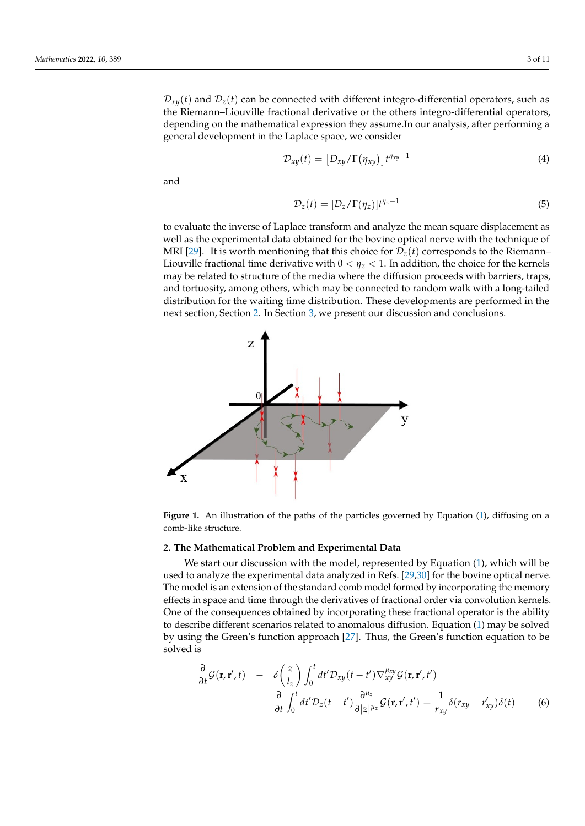$\mathcal{D}_{xy}(t)$  and  $\mathcal{D}_z(t)$  can be connected with different integro-differential operators, such as the Riemann–Liouville fractional derivative or the others integro-differential operators, depending on the mathematical expression they assume.In our analysis, after performing a general development in the Laplace space, we consider

$$
\mathcal{D}_{xy}(t) = \left[D_{xy}/\Gamma(\eta_{xy})\right]t^{\eta_{xy}-1} \tag{4}
$$

and

$$
\mathcal{D}_z(t) = [D_z/\Gamma(\eta_z)]t^{\eta_z - 1}
$$
\n(5)

to evaluate the inverse of Laplace transform and analyze the mean square displacement as well as the experimental data obtained for the bovine optical nerve with the technique of MRI [\[29\]](#page-10-13). It is worth mentioning that this choice for  $\mathcal{D}_z(t)$  corresponds to the Riemann– Liouville fractional time derivative with  $0 < \eta_z < 1$ . In addition, the choice for the kernels may be related to structure of the media where the diffusion proceeds with barriers, traps, and tortuosity, among others, which may be connected to random walk with a long-tailed distribution for the waiting time distribution. These developments are performed in the next section, Section [2.](#page-2-1) In Section [3,](#page-8-0) we present our discussion and conclusions.

<span id="page-2-0"></span>

**Figure 1.** An illustration of the paths of the particles governed by Equation [\(1\)](#page-1-0), diffusing on a comb-like structure.

#### <span id="page-2-1"></span>**2. The Mathematical Problem and Experimental Data**

We start our discussion with the model, represented by Equation [\(1\)](#page-1-0), which will be used to analyze the experimental data analyzed in Refs. [\[29](#page-10-13)[,30\]](#page-10-14) for the bovine optical nerve. The model is an extension of the standard comb model formed by incorporating the memory effects in space and time through the derivatives of fractional order via convolution kernels. One of the consequences obtained by incorporating these fractional operator is the ability to describe different scenarios related to anomalous diffusion. Equation [\(1\)](#page-1-0) may be solved by using the Green's function approach [\[27\]](#page-10-11). Thus, the Green's function equation to be solved is

<span id="page-2-2"></span>
$$
\frac{\partial}{\partial t} \mathcal{G}(\mathbf{r}, \mathbf{r}', t) - \delta \left(\frac{z}{l_z}\right) \int_0^t dt' \mathcal{D}_{xy}(t - t') \nabla_{xy}^{\mu_{xy}} \mathcal{G}(\mathbf{r}, \mathbf{r}', t') \n- \frac{\partial}{\partial t} \int_0^t dt' \mathcal{D}_z(t - t') \frac{\partial^{\mu_z}}{\partial |z|^{\mu_z}} \mathcal{G}(\mathbf{r}, \mathbf{r}', t') = \frac{1}{r_{xy}} \delta(r_{xy} - r'_{xy}) \delta(t) \tag{6}
$$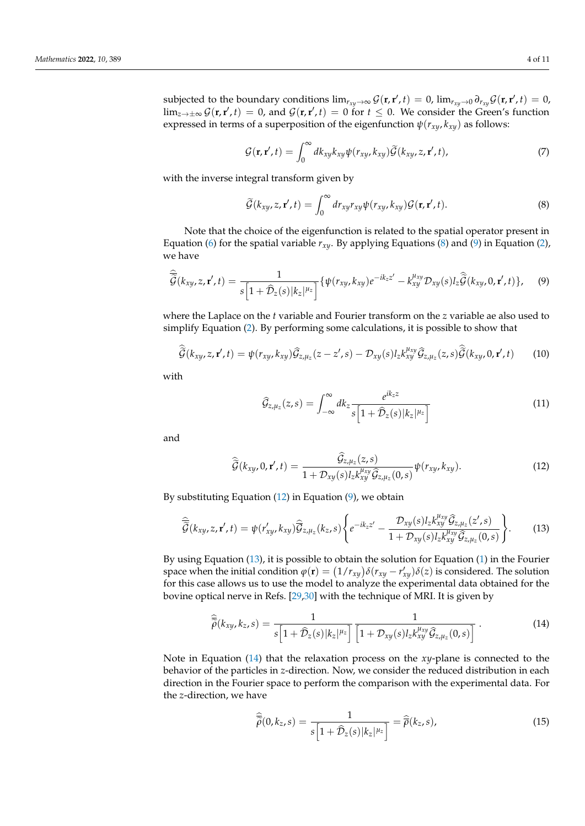subjected to the boundary conditions  $\lim_{r_{xy}\to\infty} \mathcal{G}(\mathbf{r}, \mathbf{r}', t) = 0$ ,  $\lim_{r_{xy}\to0} \partial_{r_{xy}} \mathcal{G}(\mathbf{r}, \mathbf{r}', t) = 0$ ,  $\lim_{z\to\pm\infty}\mathcal{G}(\mathbf{r},\mathbf{r}',t) = 0$ , and  $\mathcal{G}(\mathbf{r},\mathbf{r}',t) = 0$  for  $t \leq 0$ . We consider the Green's function expressed in terms of a superposition of the eigenfunction  $\psi(r_{xv}, k_{xv})$  as follows:

$$
\mathcal{G}(\mathbf{r}, \mathbf{r}', t) = \int_0^\infty dk_{xy} k_{xy} \psi(r_{xy}, k_{xy}) \widetilde{\mathcal{G}}(k_{xy}, z, \mathbf{r}', t), \tag{7}
$$

with the inverse integral transform given by

<span id="page-3-0"></span>
$$
\widetilde{\mathcal{G}}(k_{xy}, z, \mathbf{r}', t) = \int_0^\infty dr_{xy} r_{xy} \psi(r_{xy}, k_{xy}) \mathcal{G}(\mathbf{r}, \mathbf{r}', t). \tag{8}
$$

Note that the choice of the eigenfunction is related to the spatial operator present in Equation [\(6\)](#page-2-2) for the spatial variable  $r_{x,y}$ . By applying Equations [\(8\)](#page-3-0) and [\(9\)](#page-3-1) in Equation [\(2\)](#page-1-1), we have

<span id="page-3-1"></span>
$$
\widehat{\widetilde{\mathcal{G}}}(k_{xy},z,\mathbf{r}',t)=\frac{1}{s\left[1+\widehat{\mathcal{D}}_{z}(s)|k_{z}|^{\mu_{z}}\right]}\{\psi(r_{xy},k_{xy})e^{-ik_{z}z'}-k_{xy}^{\mu_{xy}}\mathcal{D}_{xy}(s)l_{z}\widehat{\widetilde{\mathcal{G}}}(k_{xy},0,\mathbf{r}',t)\},\qquad(9)
$$

where the Laplace on the *t* variable and Fourier transform on the *z* variable ae also used to simplify Equation [\(2\)](#page-1-1). By performing some calculations, it is possible to show that

$$
\widehat{\widetilde{\mathcal{G}}}(k_{xy}, z, \mathbf{r}', t) = \psi(r_{xy}, k_{xy})\widehat{\mathcal{G}}_{z, \mu_z}(z - z', s) - \mathcal{D}_{xy}(s)l_z k_{xy}^{\mu_{xy}}\widehat{\mathcal{G}}_{z, \mu_z}(z, s)\widehat{\widetilde{\mathcal{G}}}(k_{xy}, 0, \mathbf{r}', t)
$$
(10)

with

$$
\widehat{G}_{z,\mu_z}(z,s) = \int_{-\infty}^{\infty} dk_z \frac{e^{ik_z z}}{s \left[1 + \widehat{\mathcal{D}}_z(s) |k_z|^{\mu_z}\right]}
$$
(11)

and

<span id="page-3-2"></span>
$$
\widehat{\widetilde{\mathcal{G}}}(k_{xy},0,\mathbf{r}',t)=\frac{\widehat{\mathcal{G}}_{z,\mu_z}(z,s)}{1+\mathcal{D}_{xy}(s)l_zk_{xy}^{\mu_{xy}}\widehat{\mathcal{G}}_{z,\mu_z}(0,s)}\psi(r_{xy},k_{xy}).
$$
\n(12)

By substituting Equation [\(12\)](#page-3-2) in Equation [\(9\)](#page-3-1), we obtain

<span id="page-3-3"></span>
$$
\widehat{\widetilde{\mathcal{G}}}(k_{xy},z,\mathbf{r}',t) = \psi(r'_{xy},k_{xy})\widehat{\mathcal{G}}_{z,\mu_z}(k_z,s)\left\{e^{-ik_zz'}-\frac{\mathcal{D}_{xy}(s)l_zk_{xy}^{\mu_{xy}}\widehat{\mathcal{G}}_{z,\mu_z}(z',s)}{1+\mathcal{D}_{xy}(s)l_zk_{xy}^{\mu_{xy}}\widehat{\mathcal{G}}_{z,\mu_z}(0,s)}\right\}.
$$
(13)

By using Equation [\(13\)](#page-3-3), it is possible to obtain the solution for Equation [\(1\)](#page-1-0) in the Fourier space when the initial condition  $\varphi(\mathbf{r}) = (1/r_{xy})\delta(r_{xy} - r'_{xy})\delta(z)$  is considered. The solution for this case allows us to use the model to analyze the experimental data obtained for the bovine optical nerve in Refs. [\[29,](#page-10-13)[30\]](#page-10-14) with the technique of MRI. It is given by

<span id="page-3-4"></span>
$$
\widehat{\overline{\widetilde{\rho}}}(k_{xy},k_z,s) = \frac{1}{s\left[1+\widehat{\mathcal{D}}_z(s)|k_z|^{\mu_z}\right]}\frac{1}{\left[1+\mathcal{D}_{xy}(s)l_zk_{xy}^{\mu_{xy}}\widehat{\mathcal{G}}_{z,\mu_z}(0,s)\right]}.
$$
(14)

Note in Equation [\(14\)](#page-3-4) that the relaxation process on the *xy*-plane is connected to the behavior of the particles in *z*-direction. Now, we consider the reduced distribution in each direction in the Fourier space to perform the comparison with the experimental data. For the *z*-direction, we have

$$
\widehat{\widetilde{\widetilde{\rho}}}(0,k_z,s) = \frac{1}{s\left[1+\widehat{D}_z(s)|k_z|^{\mu_z}\right]} = \widehat{\widetilde{\rho}}(k_z,s),\tag{15}
$$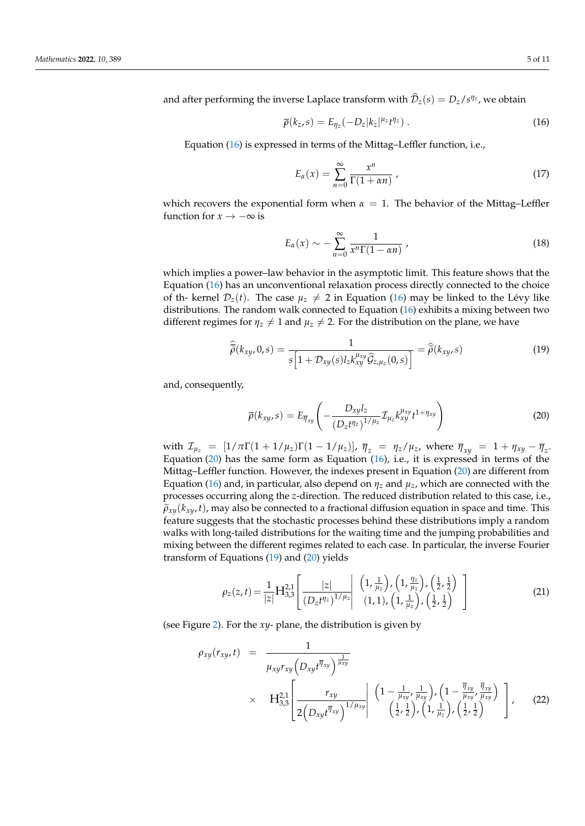and after performing the inverse Laplace transform with  $\overline{\mathcal{D}}_z(s) = D_z/s^{\eta_z}$ , we obtain

<span id="page-4-0"></span>
$$
\overline{\rho}(k_z, s) = E_{\eta_z}(-D_z|k_z|^{\mu_z}t^{\eta_z}). \qquad (16)
$$

Equation [\(16\)](#page-4-0) is expressed in terms of the Mittag–Leffler function, i.e.,

$$
E_{\alpha}(x) = \sum_{n=0}^{\infty} \frac{x^n}{\Gamma(1 + \alpha n)},
$$
\n(17)

which recovers the exponential form when  $\alpha = 1$ . The behavior of the Mittag–Leffler function for  $x \to -\infty$  is

$$
E_{\alpha}(x) \sim -\sum_{n=0}^{\infty} \frac{1}{x^n \Gamma(1 - \alpha n)} \tag{18}
$$

which implies a power–law behavior in the asymptotic limit. This feature shows that the Equation [\(16\)](#page-4-0) has an unconventional relaxation process directly connected to the choice of th- kernel  $\mathcal{D}_z(t)$ . The case  $\mu_z \neq 2$  in Equation [\(16\)](#page-4-0) may be linked to the Lévy like distributions. The random walk connected to Equation [\(16\)](#page-4-0) exhibits a mixing between two different regimes for  $\eta_z \neq 1$  and  $\mu_z \neq 2$ . For the distribution on the plane, we have

<span id="page-4-2"></span>
$$
\widehat{\overline{\widetilde{\rho}}}(k_{xy},0,s) = \frac{1}{s\left[1+\mathcal{D}_{xy}(s)l_z k_{xy}^{\mu_{xy}} \widehat{\mathcal{G}}_{z,\mu_z}(0,s)\right]} = \widehat{\widetilde{\rho}}(k_{xy},s)
$$
(19)

and, consequently,

<span id="page-4-1"></span>
$$
\overline{\rho}(k_{xy},s) = E_{\overline{\eta}_{xy}} \left( -\frac{D_{xy}l_z}{\left(D_z t^{\eta_z}\right)^{1/\mu_z}} \mathcal{I}_{\mu_z} k_{xy}^{\mu_{xy}} t^{1+\eta_{xy}} \right)
$$
(20)

with  $\mathcal{I}_{\mu_z} = [1/\pi \Gamma(1 + 1/\mu_z)\Gamma(1 - 1/\mu_z)]$ ,  $\bar{\eta}_z = \eta_z/\mu_z$ , where  $\bar{\eta}_{xy} = 1 + \eta_{xy} - \bar{\eta}_z$ . Equation  $(20)$  has the same form as Equation  $(16)$ , i.e., it is expressed in terms of the Mittag–Leffler function. However, the indexes present in Equation [\(20\)](#page-4-1) are different from Equation [\(16\)](#page-4-0) and, in particular, also depend on  $\eta_z$  and  $\mu_z$ , which are connected with the processes occurring along the *z*-direction. The reduced distribution related to this case, i.e.,  $\tilde{\rho}_{x}$ *(k<sub>xy</sub>, t*), may also be connected to a fractional diffusion equation in space and time. This feature suggests that the stochastic processes behind these distributions imply a random walks with long-tailed distributions for the waiting time and the jumping probabilities and mixing between the different regimes related to each case. In particular, the inverse Fourier transform of Equations [\(19\)](#page-4-2) and [\(20\)](#page-4-1) yields

<span id="page-4-3"></span>
$$
\rho_z(z,t) = \frac{1}{|z|} H_{3,3}^{2,1} \left[ \frac{|z|}{(D_z t^{\eta_z})^{1/\mu_z}} \middle| \begin{array}{c} \left(1, \frac{1}{\mu_z}\right), \left(1, \frac{\eta_z}{\mu_z}\right), \left(\frac{1}{2}, \frac{1}{2}\right) \\ (1, 1), \left(1, \frac{1}{\mu_z}\right), \left(\frac{1}{2}, \frac{1}{2}\right) \end{array} \right] \tag{21}
$$

(see Figure [2\)](#page-5-0). For the *xy*- plane, the distribution is given by

<span id="page-4-4"></span>
$$
\rho_{xy}(r_{xy},t) = \frac{1}{\mu_{xy}r_{xy}\left(D_{xy}t^{\overline{\eta}_{xy}}\right)^{\frac{1}{\mu_{xy}}}} \times H_{3,3}^{2,1}\left[\frac{r_{xy}}{2\left(D_{xy}t^{\overline{\eta}_{xy}}\right)^{1/\mu_{xy}}}\right] \left(1-\frac{1}{\mu_{xy}}, \frac{1}{\mu_{xy}}\right), \left(1-\frac{\overline{\eta}_{xy}}{\mu_{xy}}, \frac{\overline{\eta}_{xy}}{\mu_{xy}}\right) \right], \quad (22)
$$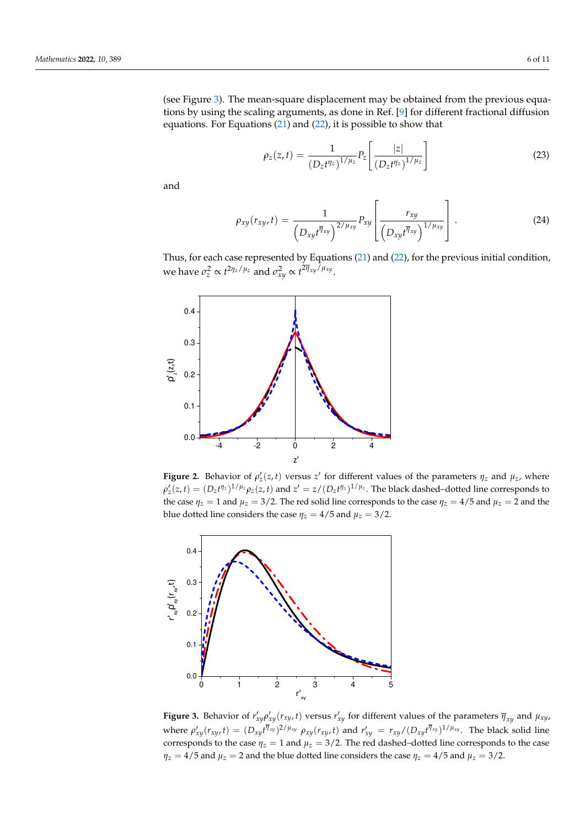(see Figure [3\)](#page-5-1). The mean-square displacement may be obtained from the previous equations by using the scaling arguments, as done in Ref. [\[9\]](#page-9-7) for different fractional diffusion equations. For Equations [\(21\)](#page-4-3) and [\(22\)](#page-4-4), it is possible to show that

$$
\rho_z(z,t) = \frac{1}{(D_z t^{\eta_z})^{1/\mu_z}} P_z \left[ \frac{|z|}{(D_z t^{\eta_z})^{1/\mu_z}} \right]
$$
(23)

and

$$
\rho_{xy}(r_{xy},t) = \frac{1}{\left(D_{xy}t^{\overline{\eta}_{xy}}\right)^{2/\mu_{xy}}}\left[\frac{r_{xy}}{\left(D_{xy}t^{\overline{\eta}_{xy}}\right)^{1/\mu_{xy}}}\right].
$$
\n(24)

Thus, for each case represented by Equations [\(21\)](#page-4-3) and [\(22\)](#page-4-4), for the previous initial condition, we have  $\sigma_z^2 \propto t^{2\eta_z/\mu_z}$  and  $\sigma_{xy}^2 \propto t^{2\overline{\eta}_{xy}/\mu_{xy}}$ .

<span id="page-5-0"></span>

**Figure 2.** Behavior of  $\rho'_z(z,t)$  versus  $z'$  for different values of the parameters  $\eta_z$  and  $\mu_z$ , where  $\rho'_z(z,t)=(D_zt^{\eta_z})^{1/\mu_z}\rho_z(z,t)$  and  $z'=z/(D_zt^{\eta_z})^{1/\mu_z}$ . The black dashed–dotted line corresponds to the case  $\eta_z = 1$  and  $\mu_z = 3/2$ . The red solid line corresponds to the case  $\eta_z = 4/5$  and  $\mu_z = 2$  and the blue dotted line considers the case  $\eta_z = 4/5$  and  $\mu_z = 3/2$ .

<span id="page-5-1"></span>

**Figure 3.** Behavior of  $r'_{xy}\rho'_{xy}(r_{xy},t)$  versus  $r'_{xy}$  for different values of the parameters  $\overline{\eta}_{xy}$  and  $\mu_{xy}$ , where  $\rho'_{xy}(r_{xy},t)=(D_{xy}t^{\overline{\eta}_{xy}})^{2/\mu_{xy}}\rho_{xy}(r_{xy},t)$  and  $r'_{xy}=r_{xy}/(D_{xy}t^{\overline{\eta}_{xy}})^{1/\mu_{xy}}$ . The black solid line corresponds to the case  $\eta_z = 1$  and  $\mu_z = 3/2$ . The red dashed–dotted line corresponds to the case  $\eta_z = 4/5$  and  $\mu_z = 2$  and the blue dotted line considers the case  $\eta_z = 4/5$  and  $\mu_z = 3/2$ .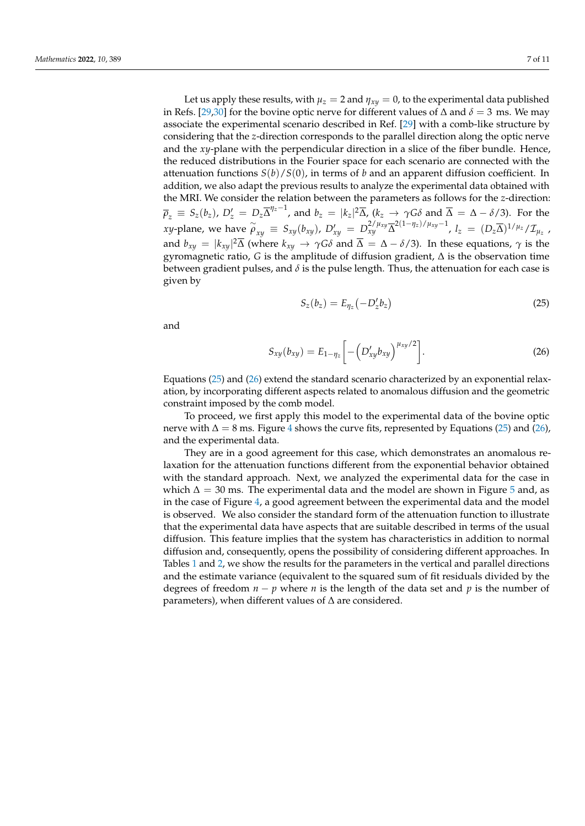Let us apply these results, with  $\mu_z = 2$  and  $\eta_{xy} = 0$ , to the experimental data published in Refs. [\[29,](#page-10-13)[30\]](#page-10-14) for the bovine optic nerve for different values of  $\Delta$  and  $\delta = 3$  ms. We may associate the experimental scenario described in Ref. [\[29\]](#page-10-13) with a comb-like structure by considering that the *z*-direction corresponds to the parallel direction along the optic nerve and the *xy*-plane with the perpendicular direction in a slice of the fiber bundle. Hence, the reduced distributions in the Fourier space for each scenario are connected with the attenuation functions  $S(b)/S(0)$ , in terms of *b* and an apparent diffusion coefficient. In addition, we also adapt the previous results to analyze the experimental data obtained with the MRI. We consider the relation between the parameters as follows for the *z*-direction:  $\overline{\rho}_z \, \equiv \, S_z(b_z)$ ,  $D_z' \, = \, D_z \overline{\Delta}^{\eta_z - 1}$ , and  $b_z \, = \, |k_z|^2 \overline{\Delta}$ ,  $(k_z \, \rightarrow \, \gamma G \delta$  and  $\overline{\Delta} \, = \, \Delta - \delta/3$ ). For the xy-plane, we have  $\stackrel{\sim}{\rho}_{xy} \equiv S_{xy}(b_{xy})$ ,  $D'_{xy} = D_{xy}^{2/\mu_{xy}} \overline{\Delta}^{2(1-\eta_z)/\mu_{xy}-1}$ ,  $l_z = (D_z\overline{\Delta})^{1/\mu_z}/\mathcal{I}_{\mu_z}$ , and  $b_{xy} = |k_{xy}|^2 \overline{\Delta}$  (where  $k_{xy} \to \gamma G \delta$  and  $\overline{\Delta} = \Delta - \delta/3$ ). In these equations,  $\gamma$  is the gyromagnetic ratio, *G* is the amplitude of diffusion gradient, ∆ is the observation time between gradient pulses, and  $\delta$  is the pulse length. Thus, the attenuation for each case is given by

<span id="page-6-0"></span>
$$
S_z(b_z) = E_{\eta_z}(-D'_z b_z)
$$
 (25)

and

<span id="page-6-1"></span>
$$
S_{xy}(b_{xy}) = E_{1-\eta_z} \left[ -\left( D'_{xy} b_{xy} \right)^{\mu_{xy}/2} \right]. \tag{26}
$$

Equations [\(25\)](#page-6-0) and [\(26\)](#page-6-1) extend the standard scenario characterized by an exponential relaxation, by incorporating different aspects related to anomalous diffusion and the geometric constraint imposed by the comb model.

To proceed, we first apply this model to the experimental data of the bovine optic nerve with  $\Delta = 8$  ms. Figure [4](#page-7-0) shows the curve fits, represented by Equations [\(25\)](#page-6-0) and [\(26\)](#page-6-1), and the experimental data.

They are in a good agreement for this case, which demonstrates an anomalous relaxation for the attenuation functions different from the exponential behavior obtained with the standard approach. Next, we analyzed the experimental data for the case in which  $\Delta = 30$  ms. The experimental data and the model are shown in Figure [5](#page-8-1) and, as in the case of Figure [4,](#page-7-0) a good agreement between the experimental data and the model is observed. We also consider the standard form of the attenuation function to illustrate that the experimental data have aspects that are suitable described in terms of the usual diffusion. This feature implies that the system has characteristics in addition to normal diffusion and, consequently, opens the possibility of considering different approaches. In Tables [1](#page-7-1) and [2,](#page-7-2) we show the results for the parameters in the vertical and parallel directions and the estimate variance (equivalent to the squared sum of fit residuals divided by the degrees of freedom  $n - p$  where *n* is the length of the data set and *p* is the number of parameters), when different values of ∆ are considered.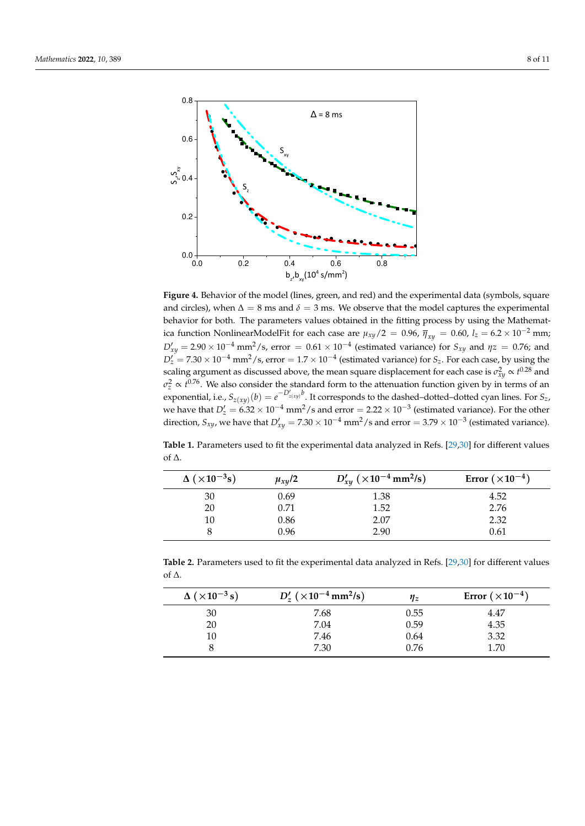<span id="page-7-0"></span>

**Figure 4.** Behavior of the model (lines, green, and red) and the experimental data (symbols, square and circles), when  $\Delta = 8$  ms and  $\delta = 3$  ms. We observe that the model captures the experimental behavior for both. The parameters values obtained in the fitting process by using the Mathematica function NonlinearModelFit for each case are  $\mu_{xy}/2 = 0.96$ ,  $\bar{\eta}_{xy} = 0.60$ ,  $l_z = 6.2 \times 10^{-2}$  mm;  $D'_{xy} = 2.90 \times 10^{-4}$  mm<sup>2</sup>/s, error = 0.61 ×  $10^{-4}$  (estimated variance) for  $S_{xy}$  and  $\eta z = 0.76$ ; and  $D'_z = 7.30 \times 10^{-4}$  mm<sup>2</sup>/s, error =  $1.7 \times 10^{-4}$  (estimated variance) for *S*<sub>*z*</sub>. For each case, by using the scaling argument as discussed above, the mean square displacement for each case is  $\sigma_{xy}^2 \propto t^{0.28}$  and  $\sigma_z^2 \propto t^{0.76}$ . We also consider the standard form to the attenuation function given by in terms of an exponential, i.e.,  $S_{z(xy)}(b) = e^{-D'_{z(xy)}b}$ . It corresponds to the dashed–dotted–dotted cyan lines. For  $S_z$ , we have that  $D'_z = 6.32 \times 10^{-4}$  mm<sup>2</sup>/s and error = 2.22  $\times 10^{-3}$  (estimated variance). For the other direction,  $S_{xy}$ , we have that  $D'_{xy} = 7.30 \times 10^{-4}$  mm<sup>2</sup>/s and error  $= 3.79 \times 10^{-3}$  (estimated variance).

<span id="page-7-1"></span>**Table 1.** Parameters used to fit the experimental data analyzed in Refs. [\[29](#page-10-13)[,30\]](#page-10-14) for different values of ∆.

| $\Delta$ ( $\times$ 10 <sup>-3</sup> s) | $\mu_{xy}/2$ | $D'_{xy}$ ( $\times 10^{-4}$ mm <sup>2</sup> /s) | Error $(\times 10^{-4})$ |
|-----------------------------------------|--------------|--------------------------------------------------|--------------------------|
| 30                                      | 0.69         | 1.38                                             | 4.52                     |
| 20                                      | 0.71         | 1.52                                             | 2.76                     |
| 10                                      | 0.86         | 2.07                                             | 2.32                     |
|                                         | 0.96         | 2.90                                             | 0.61                     |

<span id="page-7-2"></span>**Table 2.** Parameters used to fit the experimental data analyzed in Refs. [\[29](#page-10-13)[,30\]](#page-10-14) for different values of ∆.

| $\Delta (\times 10^{-3} s)$ | $D'_{7}$ ( $\times$ 10 <sup>-4</sup> mm <sup>2</sup> /s) | $n_z$ | Error $(\times 10^{-4})$ |
|-----------------------------|----------------------------------------------------------|-------|--------------------------|
| 30                          | 7.68                                                     | 0.55  | 4.47                     |
| 20                          | 7.04                                                     | 0.59  | 4.35                     |
| 10                          | 7.46                                                     | 0.64  | 3.32                     |
|                             | 7.30                                                     | 0.76  | 1.70                     |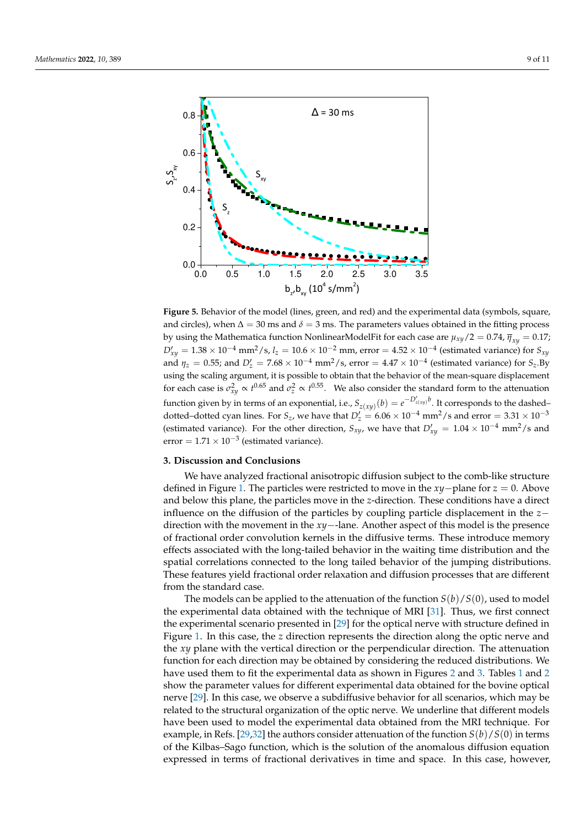<span id="page-8-1"></span>

**Figure 5.** Behavior of the model (lines, green, and red) and the experimental data (symbols, square, and circles), when  $\Delta = 30$  ms and  $\delta = 3$  ms. The parameters values obtained in the fitting process by using the Mathematica function NonlinearModelFit for each case are  $\mu_{xy}/2 = 0.74$ ,  $\bar{\eta}_{xy} = 0.17$ ;  $D'_{xy} = 1.38 \times 10^{-4}$  mm<sup>2</sup>/s, *l*<sub>z</sub> =  $10.6 \times 10^{-2}$  mm, error =  $4.52 \times 10^{-4}$  (estimated variance) for  $S_{xy}$ and  $\eta_z = 0.55$ ; and  $D'_z = 7.68 \times 10^{-4}$  mm<sup>2</sup>/s, error =  $4.47 \times 10^{-4}$  (estimated variance) for  $S_z$ . By using the scaling argument, it is possible to obtain that the behavior of the mean-square displacement for each case is  $\sigma_{xy}^2 \propto t^{0.65}$  and  $\sigma_z^2 \propto t^{0.55}$ . We also consider the standard form to the attenuation function given by in terms of an exponential, i.e.,  $S_{z(xy)}(b) = e^{-D'_{z(xy)}b}$ . It corresponds to the dashed– dotted–dotted cyan lines. For  $S_z$ , we have that  $D'_z = 6.06 \times 10^{-4}$  mm<sup>2</sup>/s and error =  $3.31 \times 10^{-3}$ (estimated variance). For the other direction,  $S_{xy}$ , we have that  $D'_{xy} = 1.04 \times 10^{-4}$  mm<sup>2</sup>/s and error =  $1.71 \times 10^{-3}$  (estimated variance).

### <span id="page-8-0"></span>**3. Discussion and Conclusions**

We have analyzed fractional anisotropic diffusion subject to the comb-like structure defined in Figure [1.](#page-2-0) The particles were restricted to move in the *xy*−plane for *z* = 0. Above and below this plane, the particles move in the *z*-direction. These conditions have a direct influence on the diffusion of the particles by coupling particle displacement in the *z*− direction with the movement in the *xy*−-lane. Another aspect of this model is the presence of fractional order convolution kernels in the diffusive terms. These introduce memory effects associated with the long-tailed behavior in the waiting time distribution and the spatial correlations connected to the long tailed behavior of the jumping distributions. These features yield fractional order relaxation and diffusion processes that are different from the standard case.

The models can be applied to the attenuation of the function *S*(*b*)/*S*(0), used to model the experimental data obtained with the technique of MRI [\[31\]](#page-10-15). Thus, we first connect the experimental scenario presented in [\[29\]](#page-10-13) for the optical nerve with structure defined in Figure [1.](#page-2-0) In this case, the *z* direction represents the direction along the optic nerve and the *xy* plane with the vertical direction or the perpendicular direction. The attenuation function for each direction may be obtained by considering the reduced distributions. We have used them to fit the experimental data as shown in Figures [2](#page-5-0) and [3.](#page-5-1) Tables [1](#page-7-1) and [2](#page-7-2) show the parameter values for different experimental data obtained for the bovine optical nerve [\[29\]](#page-10-13). In this case, we observe a subdiffusive behavior for all scenarios, which may be related to the structural organization of the optic nerve. We underline that different models have been used to model the experimental data obtained from the MRI technique. For example, in Refs. [\[29](#page-10-13)[,32\]](#page-10-16) the authors consider attenuation of the function  $S(b)/S(0)$  in terms of the Kilbas–Sago function, which is the solution of the anomalous diffusion equation expressed in terms of fractional derivatives in time and space. In this case, however,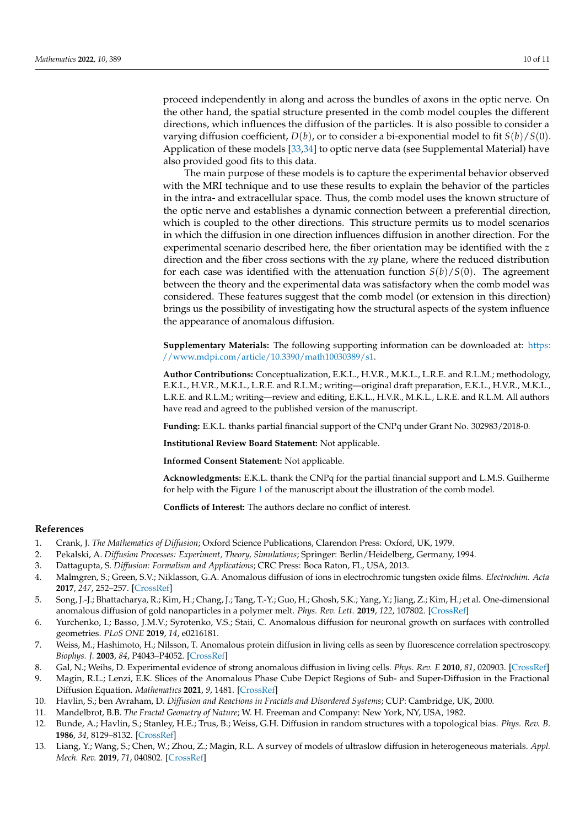proceed independently in along and across the bundles of axons in the optic nerve. On the other hand, the spatial structure presented in the comb model couples the different directions, which influences the diffusion of the particles. It is also possible to consider a varying diffusion coefficient,  $D(b)$ , or to consider a bi-exponential model to fit  $S(b)/S(0)$ . Application of these models [\[33](#page-10-17)[,34\]](#page-10-18) to optic nerve data (see Supplemental Material) have also provided good fits to this data.

The main purpose of these models is to capture the experimental behavior observed with the MRI technique and to use these results to explain the behavior of the particles in the intra- and extracellular space. Thus, the comb model uses the known structure of the optic nerve and establishes a dynamic connection between a preferential direction, which is coupled to the other directions. This structure permits us to model scenarios in which the diffusion in one direction influences diffusion in another direction. For the experimental scenario described here, the fiber orientation may be identified with the *z* direction and the fiber cross sections with the *xy* plane, where the reduced distribution for each case was identified with the attenuation function  $S(b)/S(0)$ . The agreement between the theory and the experimental data was satisfactory when the comb model was considered. These features suggest that the comb model (or extension in this direction) brings us the possibility of investigating how the structural aspects of the system influence the appearance of anomalous diffusion.

**Supplementary Materials:** The following supporting information can be downloaded at: [https:](https://www.mdpi.com/article/10.3390/math10030389/s1) [//www.mdpi.com/article/10.3390/math10030389/s1.](https://www.mdpi.com/article/10.3390/math10030389/s1)

**Author Contributions:** Conceptualization, E.K.L., H.V.R., M.K.L., L.R.E. and R.L.M.; methodology, E.K.L., H.V.R., M.K.L., L.R.E. and R.L.M.; writing—original draft preparation, E.K.L., H.V.R., M.K.L., L.R.E. and R.L.M.; writing—review and editing, E.K.L., H.V.R., M.K.L., L.R.E. and R.L.M. All authors have read and agreed to the published version of the manuscript.

**Funding:** E.K.L. thanks partial financial support of the CNPq under Grant No. 302983/2018-0.

**Institutional Review Board Statement:** Not applicable.

**Informed Consent Statement:** Not applicable.

**Acknowledgments:** E.K.L. thank the CNPq for the partial financial support and L.M.S. Guilherme for help with the Figure [1](#page-2-0) of the manuscript about the illustration of the comb model.

**Conflicts of Interest:** The authors declare no conflict of interest.

#### **References**

- <span id="page-9-0"></span>1. Crank, J. *The Mathematics of Diffusion*; Oxford Science Publications, Clarendon Press: Oxford, UK, 1979.
- 2. Pekalski, A. *Diffusion Processes: Experiment, Theory, Simulations*; Springer: Berlin/Heidelberg, Germany, 1994.
- <span id="page-9-1"></span>3. Dattagupta, S. *Diffusion: Formalism and Applications*; CRC Press: Boca Raton, FL, USA, 2013.
- <span id="page-9-2"></span>4. Malmgren, S.; Green, S.V.; Niklasson, G.A. Anomalous diffusion of ions in electrochromic tungsten oxide films. *Electrochim. Acta* **2017**, *247*, 252–257. [\[CrossRef\]](http://doi.org/10.1016/j.electacta.2017.06.079)
- <span id="page-9-3"></span>5. Song, J.-J.; Bhattacharya, R.; Kim, H.; Chang, J.; Tang, T.-Y.; Guo, H.; Ghosh, S.K.; Yang, Y.; Jiang, Z.; Kim, H.; et al. One-dimensional anomalous diffusion of gold nanoparticles in a polymer melt. *Phys. Rev. Lett.* **2019**, *122*, 107802. [\[CrossRef\]](http://dx.doi.org/10.1103/PhysRevLett.122.107802)
- <span id="page-9-4"></span>6. Yurchenko, I.; Basso, J.M.V.; Syrotenko, V.S.; Staii, C. Anomalous diffusion for neuronal growth on surfaces with controlled geometries. *PLoS ONE* **2019**, *14*, e0216181.
- <span id="page-9-5"></span>7. Weiss, M.; Hashimoto, H.; Nilsson, T. Anomalous protein diffusion in living cells as seen by fluorescence correlation spectroscopy. *Biophys. J.* **2003**, *84*, P4043–P4052. [\[CrossRef\]](http://dx.doi.org/10.1016/S0006-3495(03)75130-3)
- <span id="page-9-6"></span>8. Gal, N.; Weihs, D. Experimental evidence of strong anomalous diffusion in living cells. *Phys. Rev. E* **2010**, *81*, 020903. [\[CrossRef\]](http://dx.doi.org/10.1103/PhysRevE.81.020903)
- <span id="page-9-7"></span>9. Magin, R.L.; Lenzi, E.K. Slices of the Anomalous Phase Cube Depict Regions of Sub- and Super-Diffusion in the Fractional Diffusion Equation. *Mathematics* **2021**, *9*, 1481. [\[CrossRef\]](http://dx.doi.org/10.3390/math9131481)
- <span id="page-9-8"></span>10. Havlin, S.; ben Avraham, D. *Diffusion and Reactions in Fractals and Disordered Systems*; CUP: Cambridge, UK, 2000.
- <span id="page-9-9"></span>11. Mandelbrot, B.B. *The Fractal Geometry of Nature*; W. H. Freeman and Company: New York, NY, USA, 1982.
- <span id="page-9-10"></span>12. Bunde, A.; Havlin, S.; Stanley, H.E.; Trus, B.; Weiss, G.H. Diffusion in random structures with a topological bias. *Phys. Rev. B.* **1986**, *34*, 8129–8132. [\[CrossRef\]](http://dx.doi.org/10.1103/PhysRevB.34.8129)
- <span id="page-9-11"></span>13. Liang, Y.; Wang, S.; Chen, W.; Zhou, Z.; Magin, R.L. A survey of models of ultraslow diffusion in heterogeneous materials. *Appl. Mech. Rev.* **2019**, *71*, 040802. [\[CrossRef\]](http://dx.doi.org/10.1115/1.4044055)